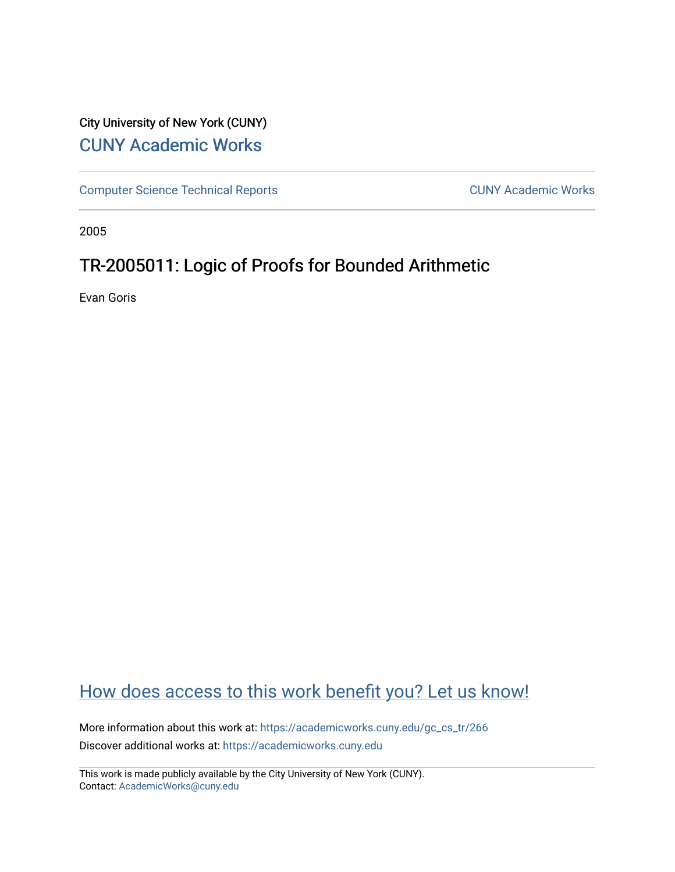# City University of New York (CUNY) [CUNY Academic Works](https://academicworks.cuny.edu/)

[Computer Science Technical Reports](https://academicworks.cuny.edu/gc_cs_tr) **CUNY Academic Works** CUNY Academic Works

2005

# TR-2005011: Logic of Proofs for Bounded Arithmetic

Evan Goris

# [How does access to this work benefit you? Let us know!](http://ols.cuny.edu/academicworks/?ref=https://academicworks.cuny.edu/gc_cs_tr/266)

More information about this work at: [https://academicworks.cuny.edu/gc\\_cs\\_tr/266](https://academicworks.cuny.edu/gc_cs_tr/266)  Discover additional works at: [https://academicworks.cuny.edu](https://academicworks.cuny.edu/?)

This work is made publicly available by the City University of New York (CUNY). Contact: [AcademicWorks@cuny.edu](mailto:AcademicWorks@cuny.edu)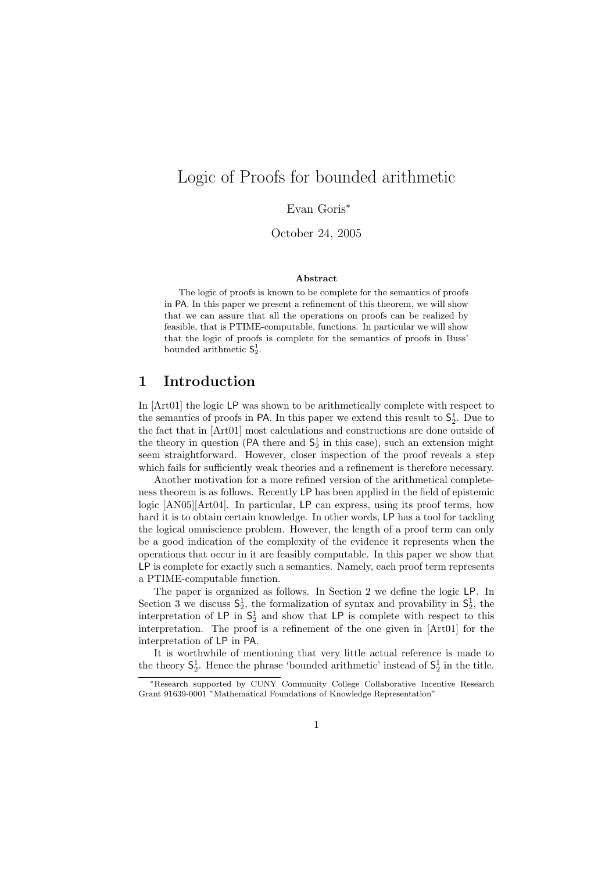## Logic of Proofs for bounded arithmetic

Evan Goris<sup>∗</sup>

October 24, 2005

#### Abstract

The logic of proofs is known to be complete for the semantics of proofs in PA. In this paper we present a refinement of this theorem, we will show that we can assure that all the operations on proofs can be realized by feasible, that is PTIME-computable, functions. In particular we will show that the logic of proofs is complete for the semantics of proofs in Buss' bounded arithmetic  $S_2^1$ .

## 1 Introduction

In [Art01] the logic LP was shown to be arithmetically complete with respect to the semantics of proofs in PA. In this paper we extend this result to  $S_2^1$ . Due to the fact that in [Art01] most calculations and constructions are done outside of the theory in question (PA there and  $S_2^1$  in this case), such an extension might seem straightforward. However, closer inspection of the proof reveals a step which fails for sufficiently weak theories and a refinement is therefore necessary.

Another motivation for a more refined version of the arithmetical completeness theorem is as follows. Recently LP has been applied in the field of epistemic logic [AN05][Art04]. In particular, LP can express, using its proof terms, how hard it is to obtain certain knowledge. In other words, LP has a tool for tackling the logical omniscience problem. However, the length of a proof term can only be a good indication of the complexity of the evidence it represents when the operations that occur in it are feasibly computable. In this paper we show that LP is complete for exactly such a semantics. Namely, each proof term represents a PTIME-computable function.

The paper is organized as follows. In Section 2 we define the logic LP. In Section 3 we discuss  $S_2^1$ , the formalization of syntax and provability in  $S_2^1$ , the interpretation of LP in  $S_2^1$  and show that LP is complete with respect to this interpretation. The proof is a refinement of the one given in [Art01] for the interpretation of LP in PA.

It is worthwhile of mentioning that very little actual reference is made to the theory  $S_2^1$ . Hence the phrase 'bounded arithmetic' instead of  $S_2^1$  in the title.

<sup>∗</sup>Research supported by CUNY Community College Collaborative Incentive Research Grant 91639-0001 "Mathematical Foundations of Knowledge Representation"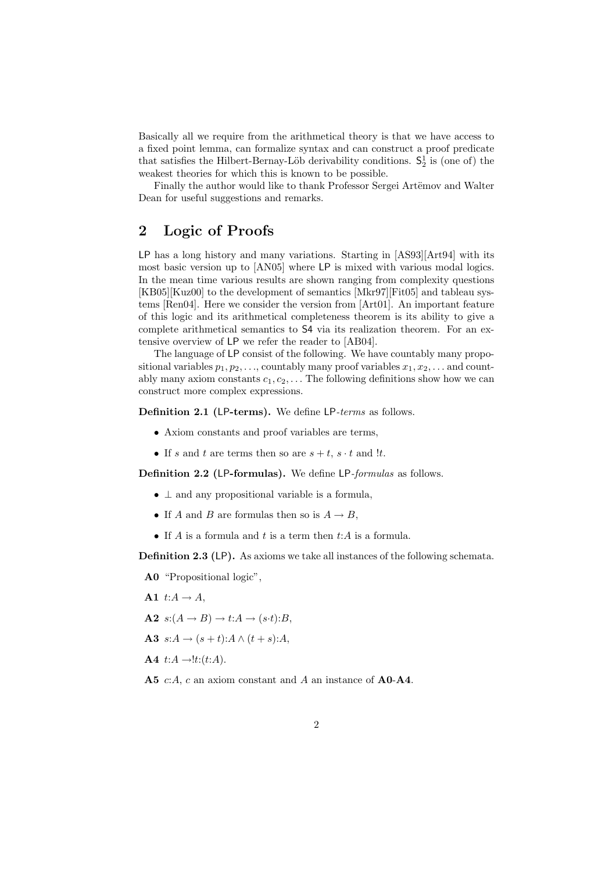Basically all we require from the arithmetical theory is that we have access to a fixed point lemma, can formalize syntax and can construct a proof predicate that satisfies the Hilbert-Bernay-Löb derivability conditions.  $S_2^1$  is (one of) the weakest theories for which this is known to be possible.

Finally the author would like to thank Professor Sergei Artëmov and Walter Dean for useful suggestions and remarks.

## 2 Logic of Proofs

LP has a long history and many variations. Starting in [AS93][Art94] with its most basic version up to [AN05] where LP is mixed with various modal logics. In the mean time various results are shown ranging from complexity questions [KB05][Kuz00] to the development of semantics [Mkr97][Fit05] and tableau systems [Ren04]. Here we consider the version from [Art01]. An important feature of this logic and its arithmetical completeness theorem is its ability to give a complete arithmetical semantics to S4 via its realization theorem. For an extensive overview of LP we refer the reader to [AB04].

The language of LP consist of the following. We have countably many propositional variables  $p_1, p_2, \ldots$ , countably many proof variables  $x_1, x_2, \ldots$  and countably many axiom constants  $c_1, c_2, \ldots$  The following definitions show how we can construct more complex expressions.

Definition 2.1 (LP-terms). We define LP-terms as follows.

- Axiom constants and proof variables are terms,
- If s and t are terms then so are  $s + t$ ,  $s \cdot t$  and !t.

Definition 2.2 (LP-formulas). We define LP-formulas as follows.

- $\perp$  and any propositional variable is a formula,
- If A and B are formulas then so is  $A \to B$ ,
- If A is a formula and t is a term then  $t:A$  is a formula.

Definition 2.3 (LP). As axioms we take all instances of the following schemata.

A0 "Propositional logic",

- A1  $t:A \rightarrow A$ ,
- $A2 \ s:(A \rightarrow B) \rightarrow t:A \rightarrow (s \cdot t):B$
- A3  $s:A \rightarrow (s+t):A \wedge (t+s):A,$
- $A4$  t: $A \rightarrow$ !t:(t:A).
- A5 c:A, c an axiom constant and A an instance of A0-A4.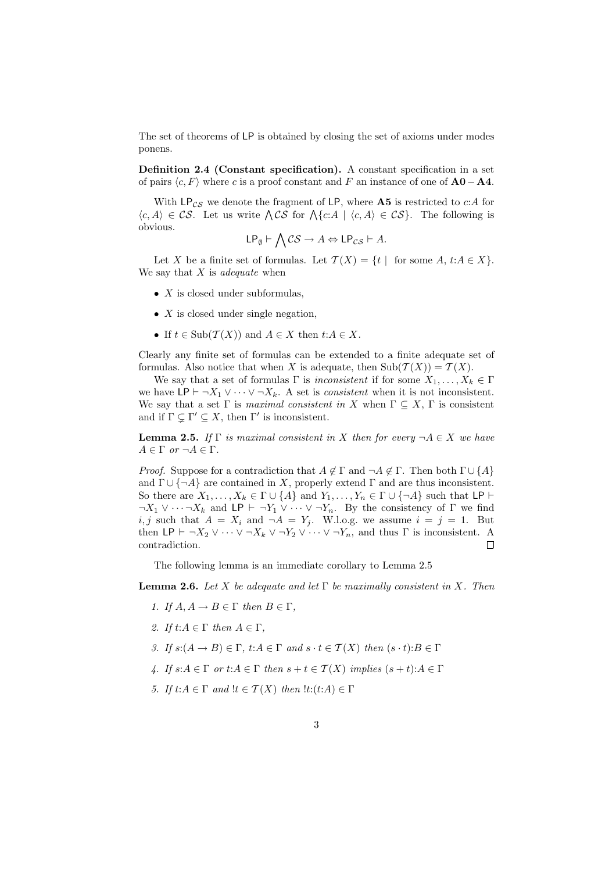The set of theorems of LP is obtained by closing the set of axioms under modes ponens.

Definition 2.4 (Constant specification). A constant specification in a set of pairs  $\langle c, F \rangle$  where c is a proof constant and F an instance of one of  $\mathbf{A0} - \mathbf{A4}$ .

With  $\mathsf{LP}_{\mathcal{CS}}$  we denote the fragment of LP, where **A5** is restricted to c:A for with LPcs we denote the fragment of LP, where A5 is restricted to c:A for  $\langle c, A \rangle \in \mathcal{CS}$ . Let us write  $\bigwedge \mathcal{CS}$  for  $\bigwedge \{c: A \mid \langle c, A \rangle \in \mathcal{CS} \}$ . The following is obvious.  $\mathbf{r}$ 

$$
\mathsf{LP}_{\emptyset} \vdash \bigwedge \mathcal{CS} \to A \Leftrightarrow \mathsf{LP}_{\mathcal{CS}} \vdash A.
$$

Let X be a finite set of formulas. Let  $\mathcal{T}(X) = \{t \mid \text{ for some } A, t:A \in X\}.$ We say that  $X$  is *adequate* when

- $X$  is closed under subformulas,
- $X$  is closed under single negation,
- If  $t \in \text{Sub}(\mathcal{T}(X))$  and  $A \in X$  then  $t:A \in X$ .

Clearly any finite set of formulas can be extended to a finite adequate set of formulas. Also notice that when X is adequate, then  $\text{Sub}(\mathcal{T}(X)) = \mathcal{T}(X)$ .

We say that a set of formulas  $\Gamma$  is inconsistent if for some  $X_1, \ldots, X_k \in \Gamma$ we have  $\mathsf{LP} \vdash \neg X_1 \vee \cdots \vee \neg X_k$ . A set is *consistent* when it is not inconsistent. We say that a set  $\Gamma$  is maximal consistent in X when  $\Gamma \subseteq X$ ,  $\Gamma$  is consistent and if  $\Gamma \subseteq \Gamma' \subseteq X$ , then  $\Gamma'$  is inconsistent.

**Lemma 2.5.** If  $\Gamma$  is maximal consistent in X then for every  $\neg A \in X$  we have  $A \in \Gamma$  or  $\neg A \in \Gamma$ .

*Proof.* Suppose for a contradiction that  $A \notin \Gamma$  and  $\neg A \notin \Gamma$ . Then both  $\Gamma \cup \{A\}$ and  $\Gamma \cup \{\neg A\}$  are contained in X, properly extend  $\Gamma$  and are thus inconsistent. So there are  $X_1, \ldots, X_k \in \Gamma \cup \{A\}$  and  $Y_1, \ldots, Y_n \in \Gamma \cup \{\neg A\}$  such that LP  $\vdash$  $\neg X_1 \lor \cdots \lor X_k$  and LP  $\vdash \neg Y_1 \lor \cdots \lor \neg Y_n$ . By the consistency of  $\Gamma$  we find i, j such that  $A = X_i$  and  $\neg A = Y_j$ . W.l.o.g. we assume  $i = j = 1$ . But then LP  $\vdash \neg X_2 \vee \cdots \vee \neg X_k \vee \neg Y_2 \vee \cdots \vee \neg Y_n$ , and thus  $\Gamma$  is inconsistent. A contradiction.  $\Box$ 

The following lemma is an immediate corollary to Lemma 2.5

**Lemma 2.6.** Let X be adequate and let  $\Gamma$  be maximally consistent in X. Then

- 1. If  $A, A \rightarrow B \in \Gamma$  then  $B \in \Gamma$ ,
- 2. If  $t:A \in \Gamma$  then  $A \in \Gamma$ ,
- 3. If  $s:(A \to B) \in \Gamma$ ,  $t:A \in \Gamma$  and  $s \cdot t \in \mathcal{T}(X)$  then  $(s \cdot t):B \in \Gamma$
- 4. If  $s:A \in \Gamma$  or  $t:A \in \Gamma$  then  $s+t \in \mathcal{T}(X)$  implies  $(s+t):A \in \Gamma$
- 5. If  $t:A \in \Gamma$  and  $!t \in \mathcal{T}(X)$  then  $!t:(t:A) \in \Gamma$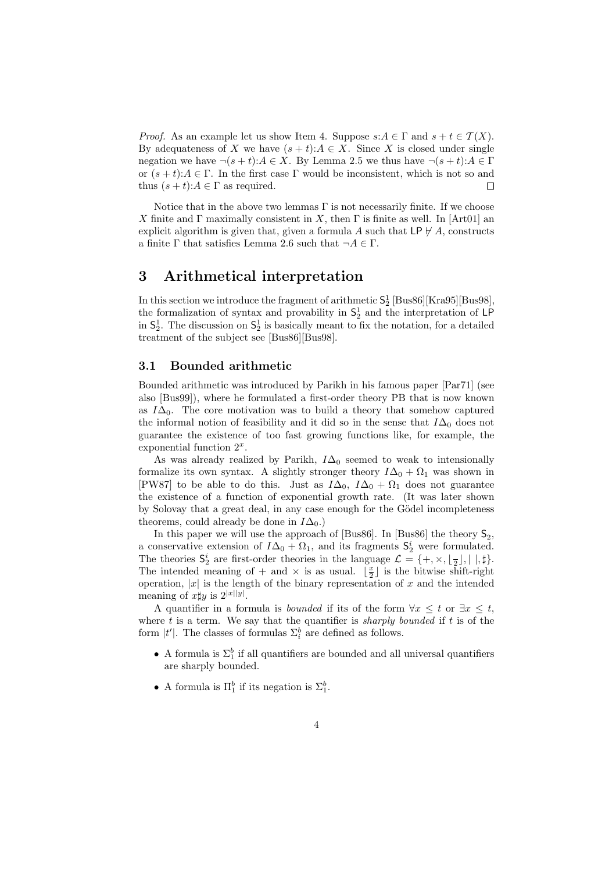*Proof.* As an example let us show Item 4. Suppose  $s:A \in \Gamma$  and  $s+t \in \mathcal{T}(X)$ . By adequateness of X we have  $(s + t): A \in X$ . Since X is closed under single negation we have  $\neg(s+t):A \in X$ . By Lemma 2.5 we thus have  $\neg(s+t):A \in \Gamma$ or  $(s + t): A \in \Gamma$ . In the first case  $\Gamma$  would be inconsistent, which is not so and thus  $(s + t): A \in \Gamma$  as required.  $\Box$ 

Notice that in the above two lemmas  $\Gamma$  is not necessarily finite. If we choose X finite and  $\Gamma$  maximally consistent in X, then  $\Gamma$  is finite as well. In [Art01] an explicit algorithm is given that, given a formula A such that  $\mathsf{LP} \not\vdash A$ , constructs a finite  $\Gamma$  that satisfies Lemma 2.6 such that  $\neg A \in \Gamma$ .

### 3 Arithmetical interpretation

In this section we introduce the fragment of arithmetic  $S_2^1$  [Bus86][Kra95][Bus98], the formalization of syntax and provability in  $\mathsf{S}^1_2$  and the interpretation of LP in  $S_2^1$ . The discussion on  $S_2^1$  is basically meant to fix the notation, for a detailed treatment of the subject see [Bus86][Bus98].

#### 3.1 Bounded arithmetic

Bounded arithmetic was introduced by Parikh in his famous paper [Par71] (see also [Bus99]), where he formulated a first-order theory PB that is now known as  $I\Delta_0$ . The core motivation was to build a theory that somehow captured the informal notion of feasibility and it did so in the sense that  $I\Delta_0$  does not guarantee the existence of too fast growing functions like, for example, the exponential function  $2^x$ .

As was already realized by Parikh,  $I\Delta_0$  seemed to weak to intensionally formalize its own syntax. A slightly stronger theory  $I\Delta_0 + \Omega_1$  was shown in [PW87] to be able to do this. Just as  $I\Delta_0$ ,  $I\Delta_0 + \Omega_1$  does not guarantee the existence of a function of exponential growth rate. (It was later shown by Solovay that a great deal, in any case enough for the Gödel incompleteness theorems, could already be done in  $I\Delta_0$ .)

In this paper we will use the approach of [Bus86]. In [Bus86] the theory  $\mathsf{S}_2$ , a conservative extension of  $I\Delta_0 + \Omega_1$ , and its fragments  $S_2^i$  were formulated. The theories  $S_2^i$  are first-order theories in the language  $\mathcal{L} = \{+, \times, \lfloor \frac{n}{2} \rfloor, |, \, \sharp\}.$ The intended meaning of + and  $\times$  is as usual.  $\lfloor \frac{x}{2} \rfloor$  is the bitwise shift-right operation,  $|x|$  is the length of the binary representation of x and the intended meaning of  $x \sharp y$  is  $2^{|x||y|}$ .

A quantifier in a formula is *bounded* if its of the form  $\forall x \leq t$  or  $\exists x \leq t$ , where  $t$  is a term. We say that the quantifier is *sharply bounded* if  $t$  is of the form  $|t'|$ . The classes of formulas  $\Sigma_i^b$  are defined as follows.

- A formula is  $\Sigma_1^b$  if all quantifiers are bounded and all universal quantifiers are sharply bounded.
- A formula is  $\Pi_1^b$  if its negation is  $\Sigma_1^b$ .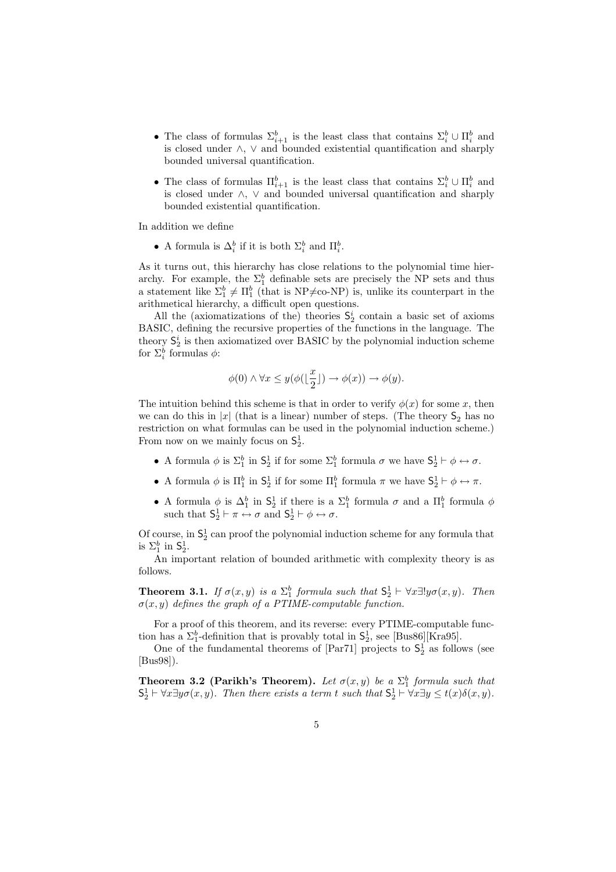- The class of formulas  $\Sigma_{i+1}^b$  is the least class that contains  $\Sigma_i^b \cup \Pi_i^b$  and is closed under ∧, ∨ and bounded existential quantification and sharply bounded universal quantification.
- The class of formulas  $\Pi_{i+1}^b$  is the least class that contains  $\Sigma_i^b \cup \Pi_i^b$  and is closed under ∧, ∨ and bounded universal quantification and sharply bounded existential quantification.

In addition we define

• A formula is  $\Delta_i^b$  if it is both  $\Sigma_i^b$  and  $\Pi_i^b$ .

As it turns out, this hierarchy has close relations to the polynomial time hierarchy. For example, the  $\Sigma_1^b$  definable sets are precisely the NP sets and thus a statement like  $\Sigma_1^b \neq \Pi_1^b$  (that is NP $\neq$ co-NP) is, unlike its counterpart in the arithmetical hierarchy, a difficult open questions.

All the (axiomatizations of the) theories  $S_2^i$  contain a basic set of axioms BASIC, defining the recursive properties of the functions in the language. The theory  $S_2^i$  is then axiomatized over BASIC by the polynomial induction scheme for  $\Sigma_i^b$  formulas  $\phi$ :

$$
\phi(0) \land \forall x \leq y (\phi(\lfloor \frac{x}{2} \rfloor) \to \phi(x)) \to \phi(y).
$$

The intuition behind this scheme is that in order to verify  $\phi(x)$  for some x, then we can do this in |x| (that is a linear) number of steps. (The theory  $S_2$  has no restriction on what formulas can be used in the polynomial induction scheme.) From now on we mainly focus on  $S_2^1$ .

- A formula  $\phi$  is  $\Sigma_1^b$  in  $\mathsf{S}_2^1$  if for some  $\Sigma_1^b$  formula  $\sigma$  we have  $\mathsf{S}_2^1 \vdash \phi \leftrightarrow \sigma$ .
- A formula  $\phi$  is  $\Pi_1^b$  in  $S_2^1$  if for some  $\Pi_1^b$  formula  $\pi$  we have  $S_2^1 \vdash \phi \leftrightarrow \pi$ .
- A formula  $\phi$  is  $\Delta_1^b$  in  $\mathsf{S}_2^1$  if there is a  $\Sigma_1^b$  formula  $\sigma$  and a  $\Pi_1^b$  formula  $\phi$ such that  $S_2^1 \vdash \pi \leftrightarrow \sigma$  and  $S_2^1 \vdash \phi \leftrightarrow \sigma$ .

Of course, in  $\mathsf{S}^1_2$  can proof the polynomial induction scheme for any formula that is  $\Sigma_1^b$  in  $\mathsf{S}_2^1$ .

An important relation of bounded arithmetic with complexity theory is as follows.

**Theorem 3.1.** If  $\sigma(x, y)$  is a  $\Sigma_1^b$  formula such that  $S_2^1 \vdash \forall x \exists! y \sigma(x, y)$ . Then  $\sigma(x, y)$  defines the graph of a PTIME-computable function.

For a proof of this theorem, and its reverse: every PTIME-computable function has a  $\Sigma_1^b$ -definition that is provably total in  $\mathsf{S}_2^1$ , see [Bus86][Kra95].

One of the fundamental theorems of [Par71] projects to  $S_2^1$  as follows (see [Bus98]).

**Theorem 3.2 (Parikh's Theorem).** Let  $\sigma(x, y)$  be a  $\Sigma_1^b$  formula such that  $S_2^1 \vdash \forall x \exists y \sigma(x, y)$ . Then there exists a term t such that  $S_2^1 \vdash \forall x \exists y \leq t(x) \delta(x, y)$ .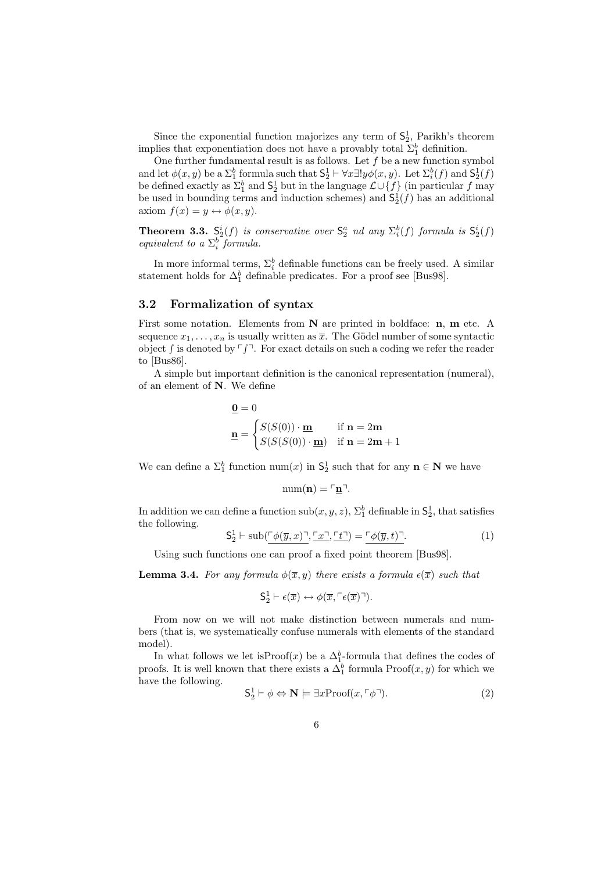Since the exponential function majorizes any term of  $S_2^1$ , Parikh's theorem implies that exponentiation does not have a provably total  $\Sigma_1^b$  definition.

One further fundamental result is as follows. Let  $f$  be a new function symbol and let  $\phi(x, y)$  be a  $\Sigma_1^b$  formula such that  $\mathsf{S}_2^1 \vdash \forall x \exists! y \phi(x, y)$ . Let  $\Sigma_i^b(f)$  and  $\mathsf{S}_2^1(f)$ be defined exactly as  $\Sigma_1^b$  and  $\mathsf{S}_2^1$  but in the language  $\mathcal{L} \cup \{f\}$  (in particular f may be used in bounding terms and induction schemes) and  $S_2^1(f)$  has an additional axiom  $f(x) = y \leftrightarrow \phi(x, y)$ .

**Theorem 3.3.**  $S_2^i(f)$  is conservative over  $S_2^a$  nd any  $\Sigma_i^b(f)$  formula is  $S_2^i(f)$ equivalent to a  $\Sigma_i^b$  formula.

In more informal terms,  $\Sigma^b_i$  definable functions can be freely used. A similar statement holds for  $\Delta_1^b$  definable predicates. For a proof see [Bus98].

#### 3.2 Formalization of syntax

First some notation. Elements from N are printed in boldface: n, m etc. A sequence  $x_1, \ldots, x_n$  is usually written as  $\overline{x}$ . The Gödel number of some syntactic object  $\int$  is denoted by  $\lceil \int \rceil$ . For exact details on such a coding we refer the reader to [Bus86].

A simple but important definition is the canonical representation (numeral), of an element of N. We define

$$
\mathbf{Q} = 0
$$
  

$$
\mathbf{n} = \begin{cases} S(S(0)) \cdot \mathbf{m} & \text{if } \mathbf{n} = 2\mathbf{m} \\ S(S(S(0)) \cdot \mathbf{m}) & \text{if } \mathbf{n} = 2\mathbf{m} + 1 \end{cases}
$$

We can define a  $\Sigma_1^b$  function num(x) in  $\mathsf{S}_2^1$  such that for any  $\mathbf{n} \in \mathbb{N}$  we have

$$
\mathrm{num}(\mathbf{n}) = \ulcorner \underline{\mathbf{n}} \urcorner.
$$

In addition we can define a function  $\text{sub}(x, y, z)$ ,  $\Sigma_1^b$  definable in  $\mathsf{S}_2^1$ , that satisfies the following.

$$
\mathsf{S}_2^1 \vdash \mathrm{sub}(\ulcorner \phi(\overline{y}, x) \urcorner, \ulcorner x \urcorner, \ulcorner t \urcorner) = \ulcorner \phi(\overline{y}, t) \urcorner. \tag{1}
$$

Using such functions one can proof a fixed point theorem [Bus98].

**Lemma 3.4.** For any formula  $\phi(\overline{x}, y)$  there exists a formula  $\epsilon(\overline{x})$  such that

$$
\mathsf{S}_2^1 \vdash \epsilon(\overline{x}) \leftrightarrow \phi(\overline{x}, \ulcorner \epsilon(\overline{x}) \urcorner).
$$

From now on we will not make distinction between numerals and numbers (that is, we systematically confuse numerals with elements of the standard model).

In what follows we let is $Proof(x)$  be a  $\Delta_1^b$ -formula that defines the codes of proofs. It is well known that there exists a  $\Delta_1^b$  formula Proof $(x, y)$  for which we have the following.

$$
\mathsf{S}_2^1 \vdash \phi \Leftrightarrow \mathbf{N} \models \exists x \text{Proof}(x, \ulcorner \phi \urcorner). \tag{2}
$$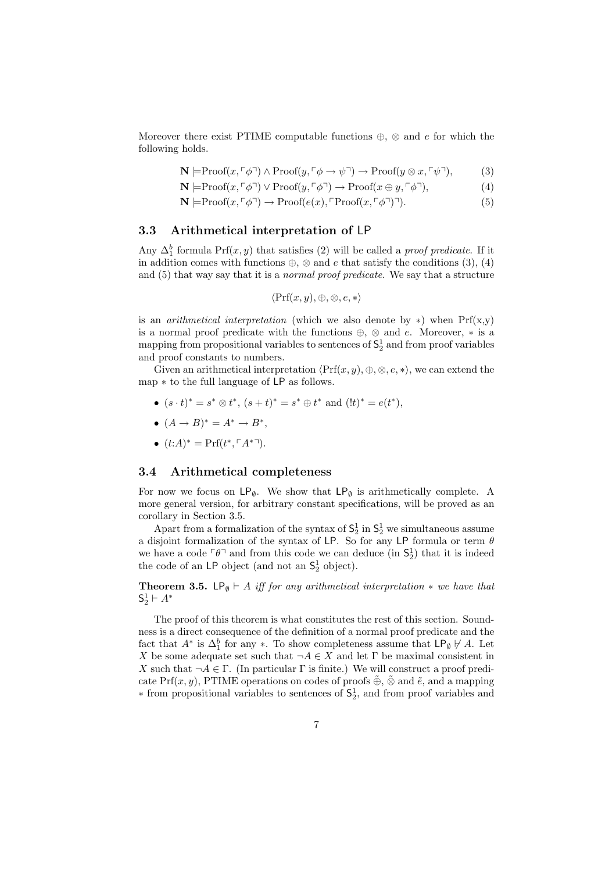Moreover there exist PTIME computable functions  $\oplus$ ,  $\otimes$  and e for which the following holds.

$$
\mathbf{N} \models \text{Proof}(x, \ulcorner \phi \urcorner) \land \text{Proof}(y, \ulcorner \phi \to \psi \urcorner) \to \text{Proof}(y \otimes x, \ulcorner \psi \urcorner), \tag{3}
$$

$$
\mathbf{N} \models \text{Proof}(x, \ulcorner \phi \urcorner) \lor \text{Proof}(y, \ulcorner \phi \urcorner) \to \text{Proof}(x \oplus y, \ulcorner \phi \urcorner), \tag{4}
$$

$$
\mathbf{N} \models \text{Proof}(x, \ulcorner \phi \urcorner) \rightarrow \text{Proof}(e(x), \ulcorner \text{Proof}(x, \ulcorner \phi \urcorner) \urcorner). \tag{5}
$$

#### 3.3 Arithmetical interpretation of LP

Any  $\Delta_1^b$  formula Prf(x, y) that satisfies (2) will be called a *proof predicate*. If it in addition comes with functions  $\oplus$ ,  $\otimes$  and  $e$  that satisfy the conditions (3), (4) and (5) that way say that it is a normal proof predicate. We say that a structure

$$
\langle \Pr f(x, y), \oplus, \otimes, e, * \rangle
$$

is an *arithmetical interpretation* (which we also denote by  $\ast$ ) when Prf(x,y) is a normal proof predicate with the functions  $\oplus$ ,  $\otimes$  and e. Moreover,  $*$  is a mapping from propositional variables to sentences of  $S_2^1$  and from proof variables and proof constants to numbers.

Given an arithmetical interpretation  $\langle \Prf(x, y), \oplus, \otimes, e, * \rangle$ , we can extend the map ∗ to the full language of LP as follows.

- $(s \cdot t)^* = s^* \otimes t^*, (s+t)^* = s^* \oplus t^*$  and  $(!t)^* = e(t^*),$
- $(A \rightarrow B)^* = A^* \rightarrow B^*$ ,
- $(t:A)^* = Prf(t^*, \lceil A^{*} \rceil)$ .

#### 3.4 Arithmetical completeness

For now we focus on  $\mathsf{LP}_{\emptyset}$ . We show that  $\mathsf{LP}_{\emptyset}$  is arithmetically complete. A more general version, for arbitrary constant specifications, will be proved as an corollary in Section 3.5.

Apart from a formalization of the syntax of  $S_2^1$  in  $S_2^1$  we simultaneous assume a disjoint formalization of the syntax of LP. So for any LP formula or term  $\theta$ we have a code  $\lceil \theta \rceil$  and from this code we can deduce (in  $S_2^1$ ) that it is indeed the code of an  $\mathsf{LP}$  object (and not an  $\mathsf{S}_2^1$  object).

**Theorem 3.5.** LP<sub>Ø</sub>  $\vdash$  A iff for any arithmetical interpretation  $*$  we have that  $\mathsf{S}_2^1 \vdash A^*$ 

The proof of this theorem is what constitutes the rest of this section. Soundness is a direct consequence of the definition of a normal proof predicate and the fact that  $A^*$  is  $\Delta_1^b$  for any  $*$ . To show completeness assume that  $\mathsf{LP}_{\emptyset} \not\vdash A$ . Let X be some adequate set such that  $\neg A \in X$  and let  $\Gamma$  be maximal consistent in X such that  $\neg A \in \Gamma$ . (In particular  $\Gamma$  is finite.) We will construct a proof predicate Prf $(x, y)$ , PTIME operations on codes of proofs  $\tilde{\oplus}$ ,  $\tilde{\otimes}$  and  $\tilde{e}$ , and a mapping ∗ from propositional variables to sentences of S 1 2 , and from proof variables and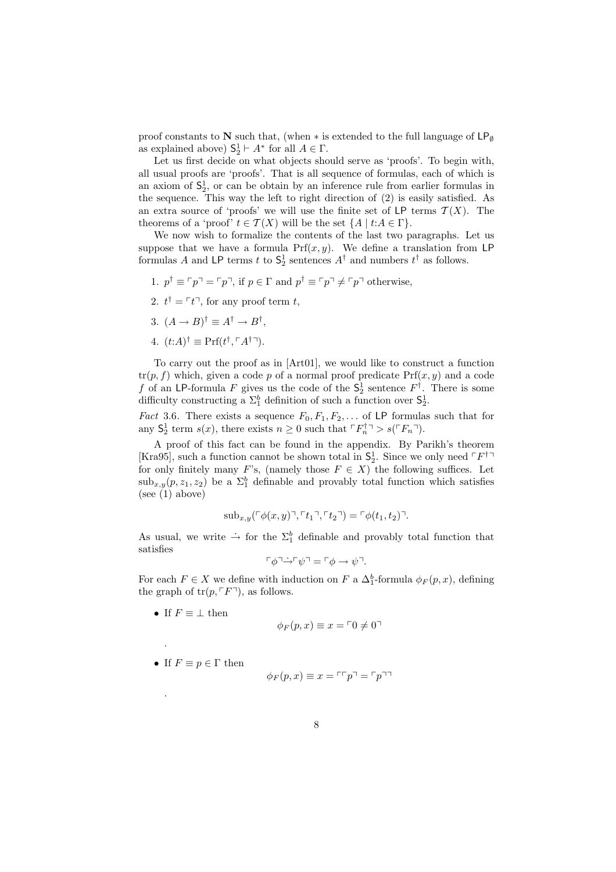proof constants to N such that, (when  $*$  is extended to the full language of  $\mathsf{LP}_{\emptyset}$ as explained above)  $S_2^1 \vdash A^*$  for all  $A \in \Gamma$ .

Let us first decide on what objects should serve as 'proofs'. To begin with, all usual proofs are 'proofs'. That is all sequence of formulas, each of which is an axiom of  $S_2^1$ , or can be obtain by an inference rule from earlier formulas in the sequence. This way the left to right direction of (2) is easily satisfied. As an extra source of 'proofs' we will use the finite set of LP terms  $\mathcal{T}(X)$ . The theorems of a 'proof'  $t \in \mathcal{T}(X)$  will be the set  $\{A \mid t:A \in \Gamma\}.$ 

We now wish to formalize the contents of the last two paragraphs. Let us suppose that we have a formula  $Prf(x, y)$ . We define a translation from LP formulas A and LP terms t to  $S_2^1$  sentences  $A^{\dagger}$  and numbers  $t^{\dagger}$  as follows.

- 1.  $p^{\dagger} \equiv \lceil p \rceil = \lceil p \rceil$ , if  $p \in \Gamma$  and  $p^{\dagger} \equiv \lceil p \rceil \neq \lceil p \rceil$  otherwise,
- 2.  $t^{\dagger} = \lceil t \rceil$ , for any proof term t,
- 3.  $(A \rightarrow B)^{\dagger} \equiv A^{\dagger} \rightarrow B^{\dagger}$ ,
- 4.  $(t:A)^{\dagger} \equiv Prf(t^{\dagger}, \lceil A^{\dagger} \rceil)$ .

To carry out the proof as in [Art01], we would like to construct a function  $tr(p, f)$  which, given a code p of a normal proof predicate  $Prf(x, y)$  and a code f of an LP-formula F gives us the code of the  $S_2^1$  sentence  $F^{\dagger}$ . There is some difficulty constructing a  $\Sigma_1^b$  definition of such a function over  $\mathsf{S}_2^1$ .

*Fact* 3.6. There exists a sequence  $F_0, F_1, F_2, \ldots$  of LP formulas such that for any  $S_2^1$  term  $s(x)$ , there exists  $n \geq 0$  such that  $\ulcorner F_n^{\dagger} \urcorner > s(\ulcorner F_n \urcorner)$ .

A proof of this fact can be found in the appendix. By Parikh's theorem [Kra95], such a function cannot be shown total in  $S_2^1$ . Since we only need  $\ulcorner F^{\dagger} \urcorner$ for only finitely many F's, (namely those  $F \in X$ ) the following suffices. Let  $\text{sub}_{x,y}(p, z_1, z_2)$  be a  $\Sigma_1^b$  definable and provably total function which satisfies (see (1) above)

$$
\mathrm{sub}_{x,y}(\ulcorner\phi(x,y)\urcorner,\ulcorner t_1\urcorner,\ulcorner t_2\urcorner) = \ulcorner\phi(t_1,t_2)\urcorner.
$$

As usual, we write  $\rightarrow$  for the  $\Sigma_1^b$  definable and provably total function that satisfies

$$
\ulcorner \phi \urcorner \dot{\rightarrow} \ulcorner \psi \urcorner = \ulcorner \phi \rightarrow \psi \urcorner.
$$

For each  $F \in X$  we define with induction on  $F$  a  $\Delta_1^b$ -formula  $\phi_F(p, x)$ , defining the graph of  $tr(p, \lceil F \rceil)$ , as follows.

• If  $F \equiv \perp$  then

.

.

$$
\phi_F(p, x) \equiv x = \ulcorner 0 \neq 0 \urcorner
$$

• If  $F \equiv p \in \Gamma$  then

$$
\phi_F(p, x) \equiv x = \ulcorner \ulcorner p \urcorner = \ulcorner p \urcorner \urcorner
$$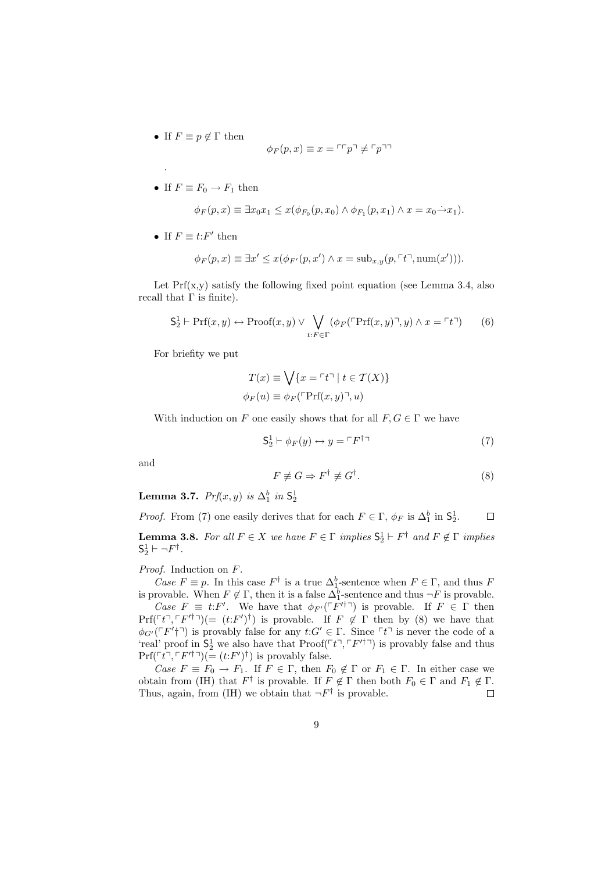• If  $F \equiv p \notin \Gamma$  then

.

$$
\phi_F(p, x) \equiv x = \ulcorner \ulcorner p \urcorner \neq \ulcorner p \urcorner \urcorner
$$

• If  $F \equiv F_0 \rightarrow F_1$  then

$$
\phi_F(p,x) \equiv \exists x_0 x_1 \le x(\phi_{F_0}(p,x_0) \land \phi_{F_1}(p,x_1) \land x = x_0 \rightarrow x_1).
$$

• If  $F \equiv t$ : F' then

$$
\phi_F(p,x) \equiv \exists x' \le x(\phi_{F'}(p,x') \land x = \mathrm{sub}_{x,y}(p,\ulcorner t \urcorner, \mathrm{num}(x'))).
$$

Let  $Prf(x,y)$  satisfy the following fixed point equation (see Lemma 3.4, also recall that  $\Gamma$  is finite).

$$
S_2^1 \vdash Prf(x, y) \leftrightarrow Proof(x, y) \lor \bigvee_{t: F \in \Gamma} (\phi_F(\ulcorner Prf(x, y) \urcorner, y) \land x = \ulcorner t \urcorner) \tag{6}
$$

For briefity we put

$$
T(x) \equiv \bigvee \{x = \ulcorner t \urcorner \mid t \in T(X)\}
$$

$$
\phi_F(u) \equiv \phi_F(\ulcorner \Pr(f(x, y) \urcorner, u)
$$

With induction on F one easily shows that for all  $F, G \in \Gamma$  we have

$$
\mathsf{S}_2^1 \vdash \phi_F(y) \leftrightarrow y = \ulcorner F^{\dagger} \urcorner \tag{7}
$$

and

$$
F \not\equiv G \Rightarrow F^{\dagger} \not\equiv G^{\dagger}.
$$
 (8)

Lemma 3.7.  $Prf(x, y)$  is  $\Delta_1^b$  in  $\mathsf{S}_2^1$ 

*Proof.* From (7) one easily derives that for each  $F \in \Gamma$ ,  $\phi_F$  is  $\Delta_1^b$  in  $\mathsf{S}_2^1$ .  $\Box$ 

**Lemma 3.8.** For all  $F \in X$  we have  $F \in \Gamma$  implies  $S_2^1 \vdash F^{\dagger}$  and  $F \notin \Gamma$  implies  $S_2^1 \vdash \neg F^{\dagger}$ .

Proof. Induction on F.

Case  $F \equiv p$ . In this case  $F^{\dagger}$  is a true  $\Delta_1^b$ -sentence when  $F \in \Gamma$ , and thus F is provable. When  $F \notin \Gamma$ , then it is a false  $\Delta_1^b$ -sentence and thus  $\neg F$  is provable.

Case  $F \equiv t$ : F'. We have that  $\phi_{F'}(F' \uparrow \uparrow)$  is provable. If  $F \in \Gamma$  then  $Prf(\ulcorner t\urcorner, \ulcorner F'^\dagger\urcorner)(= (t:F')^{\dagger})$  is provable. If  $F \notin \Gamma$  then by (8) we have that  $\phi_{G'}(\ulcorner F'\urcorner\urcorner)$  is provably false for any  $t:G'\in\Gamma$ . Since  $\ulcorner t\urcorner$  is never the code of a 'real' proof in  $S_2^1$  we also have that  $Proof(\ulcorner t \urcorner, \ulcorner F'^\dagger \urcorner)$  is provably false and thus  $\Pr(f \upharpoonright t^{\neg}, \ulcorner F'^{\dagger \neg}) (= (t \cdot F')^{\dagger})$  is provably false.

Case  $F \equiv F_0 \to F_1$ . If  $F \in \Gamma$ , then  $F_0 \notin \Gamma$  or  $F_1 \in \Gamma$ . In either case we obtain from (IH) that  $F^{\dagger}$  is provable. If  $F \notin \Gamma$  then both  $F_0 \in \Gamma$  and  $F_1 \notin \Gamma$ . Thus, again, from (IH) we obtain that  $\neg F^{\dagger}$  is provable.  $\Box$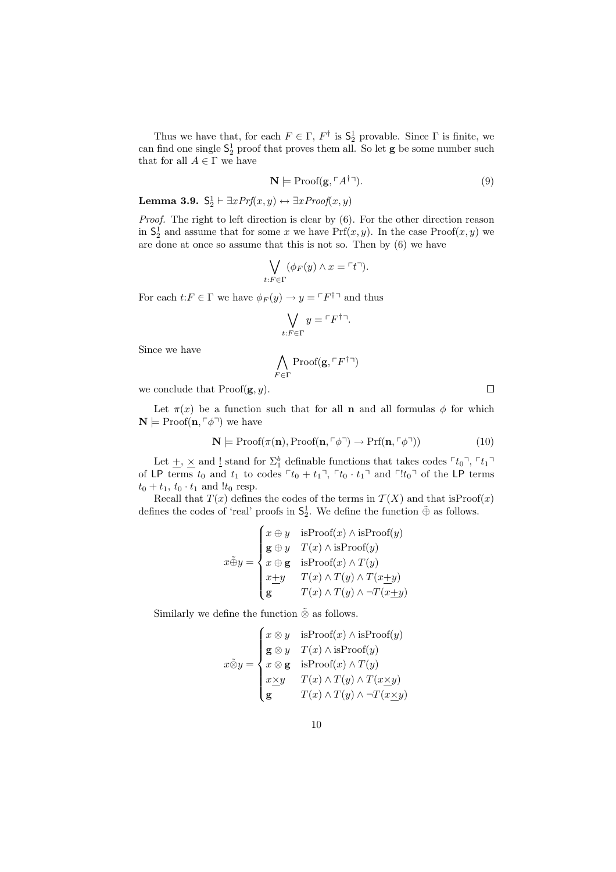Thus we have that, for each  $F \in \Gamma$ ,  $F^{\dagger}$  is  $\mathsf{S}_2^1$  provable. Since  $\Gamma$  is finite, we can find one single  $S_2^1$  proof that proves them all. So let **g** be some number such that for all  $A \in \Gamma$  we have

$$
\mathbf{N} \models \text{Proof}(\mathbf{g}, \ulcorner A^{\dagger} \urcorner). \tag{9}
$$

Lemma 3.9.  $S_2^1 \vdash \exists x Prf(x, y) \leftrightarrow \exists x Proof(x, y)$ 

Proof. The right to left direction is clear by  $(6)$ . For the other direction reason in  $S_2^1$  and assume that for some x we have  $Prf(x, y)$ . In the case  $Proof(x, y)$  we are done at once so assume that this is not so. Then by (6) we have

$$
\bigvee_{t:F \in \Gamma} (\phi_F(y) \wedge x = \ulcorner t \urcorner).
$$

For each  $t: F \in \Gamma$  we have  $\phi_F(y) \to y = \ulcorner F^{\dagger} \urcorner$  and thus

$$
\bigvee_{t:F\in\Gamma} y = \ulcorner F^{\dagger}\urcorner.
$$

Since we have

$$
\bigwedge_{F \in \Gamma} \mathrm{Proof}(\mathbf{g}, \ulcorner F^{\dagger} \urcorner)
$$

we conclude that  $Proof(\mathbf{g}, y)$ .

Let  $\pi(x)$  be a function such that for all **n** and all formulas  $\phi$  for which  $\mathbf{N} \models \text{Proof}(\mathbf{n}, \ulcorner \phi \urcorner)$  we have

$$
\mathbf{N} \models \text{Proof}(\pi(\mathbf{n}), \text{Proof}(\mathbf{n}, \ulcorner \phi \urcorner) \to \text{Prf}(\mathbf{n}, \ulcorner \phi \urcorner))
$$
(10)

Let  $\pm$ ,  $\times$  and  $\frac{1}{2}$  stand for  $\Sigma_1^b$  definable functions that takes codes  $\ulcorner t_0 \urcorner$ ,  $\ulcorner t_1 \urcorner$ of LP terms  $t_0$  and  $t_1$  to codes  $\lceil t_0 + t_1 \rceil$ ,  $\lceil t_0 \cdot t_1 \rceil$  and  $\lceil t_0 \rceil$  of the LP terms  $t_0 + t_1$ ,  $t_0 \cdot t_1$  and  $!t_0$  resp.

Recall that  $T(x)$  defines the codes of the terms in  $T(X)$  and that is Proof(x) defines the codes of 'real' proofs in  $\mathsf{S}_2^1$ . We define the function  $\tilde{\oplus}$  as follows.

$$
x \oplus y = \begin{cases} x \oplus y & \text{isProof}(x) \land \text{isProof}(y) \\ \mathbf{g} \oplus y & T(x) \land \text{isProof}(y) \\ x \oplus \mathbf{g} & \text{isProof}(x) \land T(y) \\ x \pm y & T(x) \land T(y) \land T(x \pm y) \\ \mathbf{g} & T(x) \land T(y) \land \neg T(x \pm y) \end{cases}
$$

Similarly we define the function  $\tilde{\otimes}$  as follows.

$$
x \tilde{\otimes} y = \begin{cases} x \otimes y & \text{isProof}(x) \land \text{isProof}(y) \\ \mathbf{g} \otimes y & T(x) \land \text{isProof}(y) \\ x \otimes \mathbf{g} & \text{isProof}(x) \land T(y) \\ x \underline{\times} y & T(x) \land T(y) \land T(x \underline{\times} y) \\ \mathbf{g} & T(x) \land T(y) \land \neg T(x \underline{\times} y) \end{cases}
$$

 $\Box$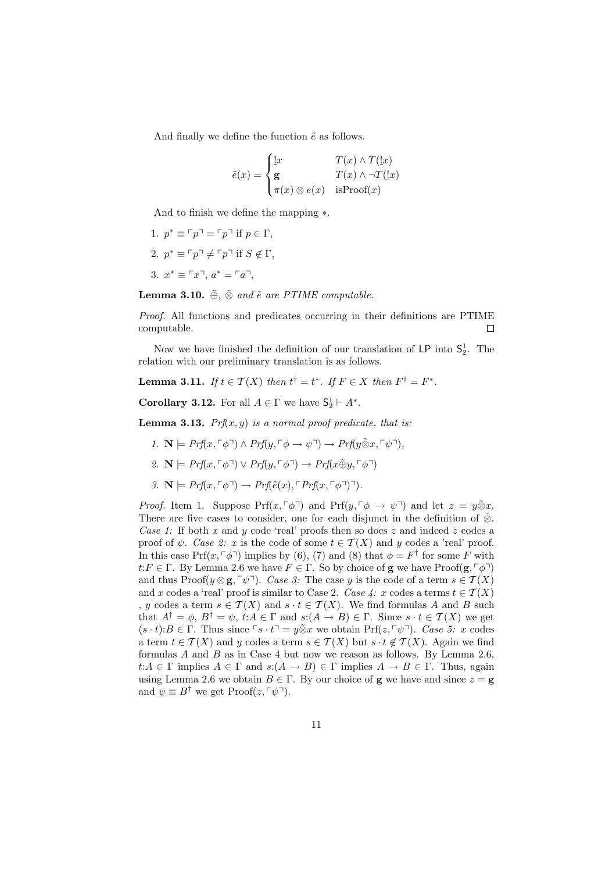And finally we define the function  $\tilde{e}$  as follows.

$$
\tilde{e}(x) = \begin{cases} \frac{1}{x} & T(x) \wedge T(\underline{1}x) \\ \mathbf{g} & T(x) \wedge \neg T(\underline{1}x) \\ \pi(x) \otimes e(x) & \text{isProof}(x) \end{cases}
$$

And to finish we define the mapping ∗.

1.  $p^* \equiv \lceil p \rceil = \lceil p \rceil$  if  $p \in \Gamma$ , 2.  $p^* \equiv \lceil p \rceil \neq \lceil p \rceil$  if  $S \notin \Gamma$ , 3.  $x^* \equiv \lceil x \rceil$ ,  $a^* = \lceil a \rceil$ ,

Lemma 3.10.  $\tilde{\oplus}$ ,  $\tilde{\otimes}$  and  $\tilde{e}$  are PTIME computable.

Proof. All functions and predicates occurring in their definitions are PTIME computable.  $\Box$ 

Now we have finished the definition of our translation of  $\mathsf{LP}$  into  $\mathsf{S}_2^1$ . The relation with our preliminary translation is as follows.

**Lemma 3.11.** If  $t \in \mathcal{T}(X)$  then  $t^{\dagger} = t^*$ . If  $F \in X$  then  $F^{\dagger} = F^*$ .

**Corollary 3.12.** For all  $A \in \Gamma$  we have  $\mathsf{S}_2^1 \vdash A^*$ .

**Lemma 3.13.** Prf $(x, y)$  is a normal proof predicate, that is:

- 1.  $\mathbf{N} \models Prf(x, \lceil \phi \rceil) \land Prf(y, \lceil \phi \rightarrow \psi \rceil) \rightarrow Prf(y \tilde{\otimes} x, \lceil \psi \rceil).$
- 2.  $\mathbf{N} \models Prf(x, \ulcorner \phi \urcorner) \lor Prf(y, \ulcorner \phi \urcorner) \rightarrow Prf(x \tilde{\oplus} y, \ulcorner \phi \urcorner)$
- 3.  $\mathbf{N} \models Prf(x, \lceil \phi \rceil) \rightarrow Prf(\tilde{e}(x), \lceil Prf(x, \lceil \phi \rceil) \rceil).$

*Proof.* Item 1. Suppose Prf $(x, \ulcorner \phi \urcorner)$  and Prf $(y, \ulcorner \phi \rightarrow \psi \urcorner)$  and let  $z = y \tilde{\otimes} x$ . There are five cases to consider, one for each disjunct in the definition of  $\tilde{\otimes}$ . Case 1: If both x and y code 'real' proofs then so does z and indeed z codes a proof of  $\psi$ . Case 2: x is the code of some  $t \in \mathcal{T}(X)$  and y codes a 'real' proof. In this case  $Pr(x, \lceil \phi \rceil)$  implies by (6), (7) and (8) that  $\phi = F^{\dagger}$  for some F with  $t: F \in \Gamma$ . By Lemma 2.6 we have  $F \in \Gamma$ . So by choice of **g** we have Proof(**g**,  $\lceil \phi \rceil$ ) and thus Proof( $y \otimes g, \lceil \psi \rceil$ ). Case 3: The case y is the code of a term  $s \in \mathcal{T}(X)$ and x codes a 'real' proof is similar to Case 2. Case 4: x codes a terms  $t \in \mathcal{T}(X)$ , y codes a term  $s \in \mathcal{T}(X)$  and  $s \cdot t \in \mathcal{T}(X)$ . We find formulas A and B such that  $A^{\dagger} = \phi$ ,  $B^{\dagger} = \psi$ ,  $t:A \in \Gamma$  and  $s:A \to B) \in \Gamma$ . Since  $s \cdot t \in \mathcal{T}(X)$  we get  $(s \cdot t): B \in \Gamma$ . Thus since  $\lceil s \cdot t \rceil = y \tilde{\otimes} x$  we obtain Prf $(z, \lceil \psi \rceil)$ . Case 5: x codes a term  $t \in \mathcal{T}(X)$  and y codes a term  $s \in \mathcal{T}(X)$  but  $s \cdot t \notin \mathcal{T}(X)$ . Again we find formulas  $A$  and  $B$  as in Case 4 but now we reason as follows. By Lemma 2.6,  $t:A \in \Gamma$  implies  $A \in \Gamma$  and  $s:(A \to B) \in \Gamma$  implies  $A \to B \in \Gamma$ . Thus, again using Lemma 2.6 we obtain  $B \in \Gamma$ . By our choice of **g** we have and since  $z = \mathbf{g}$ and  $\psi \equiv B^{\dagger}$  we get Proof( $z, \lceil \psi \rceil$ ).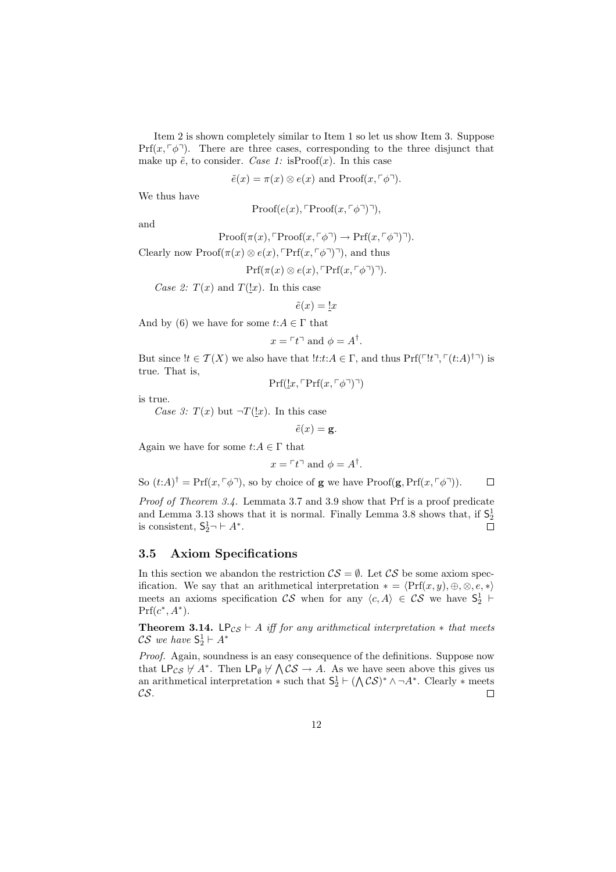Item 2 is shown completely similar to Item 1 so let us show Item 3. Suppose  $Prf(x, \lceil \phi \rceil)$ . There are three cases, corresponding to the three disjunct that make up  $\tilde{e}$ , to consider. Case 1: isProof(x). In this case

 $\tilde{e}(x) = \pi(x) \otimes e(x)$  and  $Proof(x, \lceil \phi \rceil)$ .

We thus have

Proof
$$
(e(x), \text{Proof}(x, \ulcorner \phi \urcorner)
$$

and

Proof
$$
(\pi(x), \text{Proof}(x, \ulcorner \phi \urcorner) \rightarrow \text{Prf}(x, \ulcorner \phi \urcorner) \urcorner).
$$

Clearly now  $Proof(\pi(x) \otimes e(x), \mathbb{P}\mathrm{Prf}(x, \lceil \phi \rceil)$ , and thus

$$
Prf(\pi(x) \otimes e(x), \ulcorner Prf(x, \ulcorner \phi \urcorner) \urcorner).
$$

Case 2:  $T(x)$  and  $T(\underline{!}x)$ . In this case

$$
\tilde{e}(x) = \underline{!}x
$$

And by (6) we have for some  $t:A \in \Gamma$  that

$$
x = \ulcorner t \urcorner
$$
 and  $\phi = A^{\dagger}$ .

But since  $!t \in \mathcal{T}(X)$  we also have that  $!t:t:A \in \Gamma$ , and thus  $\Pr(f[\ulcorner t \urcorner, \ulcorner (t:A) \urcorner \urcorner)$  is true. That is,

$$
Prf(\underline{!}x, \ulcorner Prf(x, \ulcorner\phi\urcorner)\urcorner)
$$

is true.

Case 3:  $T(x)$  but  $\neg T(\underline{!}x)$ . In this case

$$
\tilde{e}(x) = \mathbf{g}.
$$

Again we have for some  $t:A \in \Gamma$  that

$$
x = \ulcorner t \urcorner
$$
 and  $\phi = A^{\dagger}$ .

So  $(t:A)^{\dagger} = Prf(x,\ulcorner\phi\urcorner)$ , so by choice of **g** we have  $Proof(\mathbf{g},Prf(x,\ulcorner\phi\urcorner))$ .  $\Box$ 

Proof of Theorem 3.4. Lemmata 3.7 and 3.9 show that Prf is a proof predicate and Lemma 3.13 shows that it is normal. Finally Lemma 3.8 shows that, if  $S_2^1$ is consistent,  $S_2^1 \neg \vdash A^*$ .

#### 3.5 Axiom Specifications

In this section we abandon the restriction  $\mathcal{CS} = \emptyset$ . Let  $\mathcal{CS}$  be some axiom specification. We say that an arithmetical interpretation  $* = \langle \Pr(f(x, y), \oplus, \otimes, e, *)$ meets an axioms specification  $\mathcal{CS}$  when for any  $\langle c, A \rangle \in \mathcal{CS}$  we have  $S_2^1$   $\vdash$  $Prf(c^*, A^*)$ .

**Theorem 3.14.** LP<sub>CS</sub>  $\vdash$  A iff for any arithmetical interpretation  $*$  that meets  $\mathcal{CS}$  we have  $\mathsf{S}_2^1 \vdash A^*$ 

Proof. Again, soundness is an easy consequence of the definitions. Suppose now that  $LP_{CS} \not\vdash A^*$ . Then  $LP_{\emptyset} \not\vdash \bigwedge \mathcal{CS} \rightarrow A$ . As we have seen above this gives us an arithmetical interpretation  $*$  such that  $S_2^1 \vdash (\bigwedge \mathcal{CS})^* \wedge \neg A^*$ . Clearly  $*$  meets CS.  $\Box$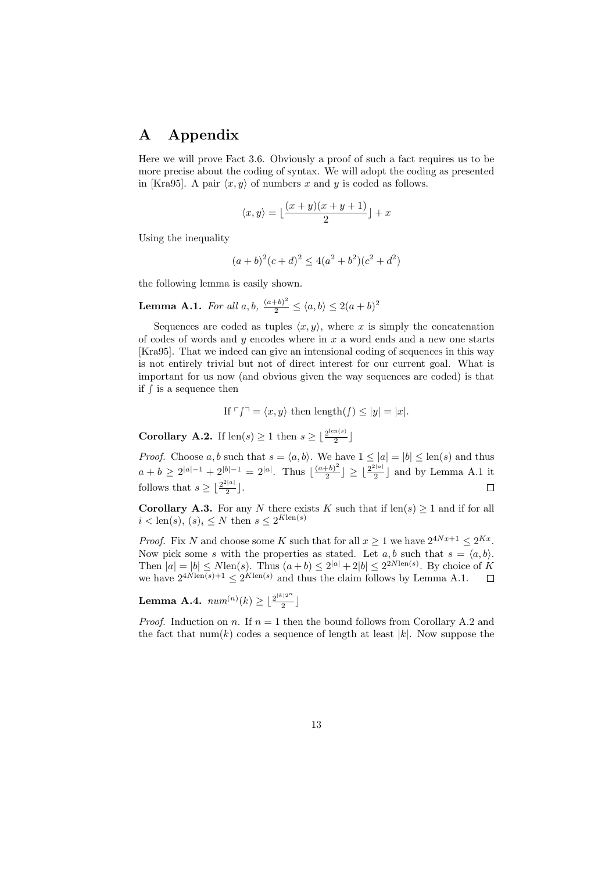## A Appendix

Here we will prove Fact 3.6. Obviously a proof of such a fact requires us to be more precise about the coding of syntax. We will adopt the coding as presented in [Kra95]. A pair  $\langle x, y \rangle$  of numbers x and y is coded as follows.

$$
\langle x, y \rangle = \lfloor \frac{(x+y)(x+y+1)}{2} \rfloor + x
$$

Using the inequality

$$
(a+b)^2(c+d)^2 \le 4(a^2+b^2)(c^2+d^2)
$$

the following lemma is easily shown.

**Lemma A.1.** For all  $a, b$ ,  $\frac{(a+b)^2}{2} \leq \langle a, b \rangle \leq 2(a+b)^2$ 

Sequences are coded as tuples  $\langle x, y \rangle$ , where x is simply the concatenation of codes of words and y encodes where in  $x$  a word ends and a new one starts [Kra95]. That we indeed can give an intensional coding of sequences in this way is not entirely trivial but not of direct interest for our current goal. What is important for us now (and obvious given the way sequences are coded) is that if ∫ is a sequence then

If  $\ulcorner f\urcorner = \langle x, y \rangle$  then length $(f) \leq |y| = |x|$ .

**Corollary A.2.** If  $\text{len}(s) \geq 1$  then  $s \geq \frac{2^{\text{len}(s)}}{2}$  $\frac{n(s)}{2}$ 

*Proof.* Choose a, b such that  $s = \langle a, b \rangle$ . We have  $1 \leq |a| = |b| \leq \text{len}(s)$  and thus  $a + b \geq 2^{|a|-1} + 2^{|b|-1} = 2^{|a|}$ . Thus  $\frac{(a+b)^2}{2}$  $\lfloor\frac{b}{2}\rfloor\geq\lfloor\frac{2^{2|a|}}{2}$  $\frac{1}{2}$  and by Lemma A.1 it follows that  $s \geq \frac{2^{2|a|}}{2}$  $\Box$  $\frac{1}{2}$ .

**Corollary A.3.** For any N there exists K such that if  $len(s) \geq 1$  and if for all  $i < \text{len}(s), (s)_i \leq N \text{ then } s \leq 2^{K \text{len}(s)}$ 

*Proof.* Fix N and choose some K such that for all  $x \geq 1$  we have  $2^{4Nx+1} \leq 2^{Kx}$ . Now pick some s with the properties as stated. Let a, b such that  $s = \langle a, b \rangle$ . Then  $|a| = |b| \le N \text{len}(s)$ . Thus  $(a+b) \le 2^{|a|} + 2|b| \le 2^{2N \text{len}(s)}$ . By choice of K we have  $2^{4N \text{len}(s)+1} \leq 2^{K \text{len}(s)}$  and thus the claim follows by Lemma A.1.  $\Box$ 

**Lemma A.4.**  $num^{(n)}(k) \geq \frac{2^{|k|2^n}}{2}$  $\frac{1}{2}$ ]

*Proof.* Induction on n. If  $n = 1$  then the bound follows from Corollary A.2 and the fact that  $\text{num}(k)$  codes a sequence of length at least |k|. Now suppose the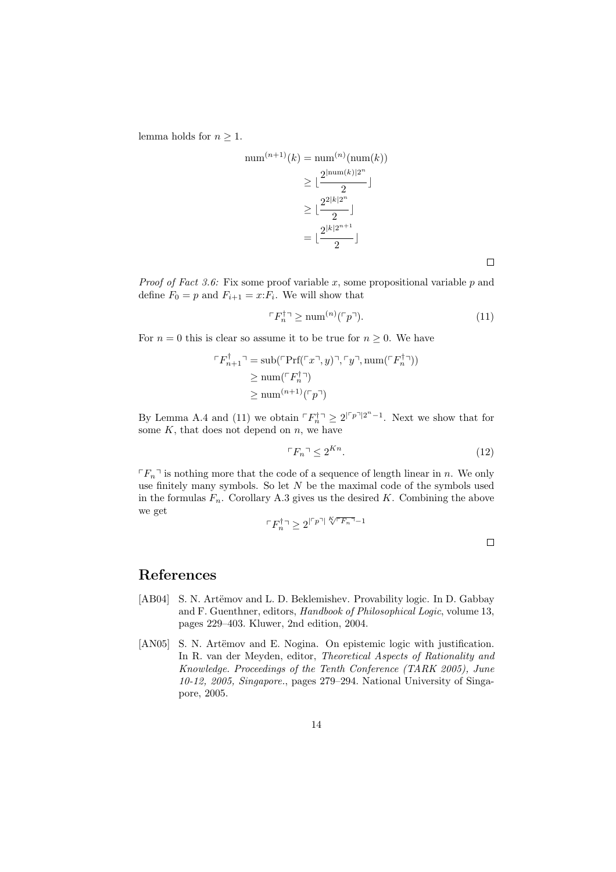lemma holds for  $n \geq 1$ .

 $\overline{r}$ 

num<sup>(n+1)</sup>(k) = num<sup>(n)</sup>(num(k))  
\n
$$
\geq \lfloor \frac{2^{\lfloor \text{num}(k) \rfloor 2^n}}{2} \rfloor
$$
\n
$$
\geq \lfloor \frac{2^{2\lfloor k \rfloor 2^n}}{2} \rfloor
$$
\n
$$
= \lfloor \frac{2^{\lfloor k \rfloor 2^{n+1}}}{2} \rfloor
$$

 $\Box$ 

*Proof of Fact 3.6:* Fix some proof variable  $x$ , some propositional variable  $p$  and define  $F_0 = p$  and  $F_{i+1} = x$ :  $F_i$ . We will show that

$$
\ulcorner F_n^{\dagger} \urcorner \ge \text{num}^{(n)}(\ulcorner p \urcorner). \tag{11}
$$

For  $n = 0$  this is clear so assume it to be true for  $n \geq 0$ . We have

$$
F_{n+1}^{\dagger} \supseteq \text{sub}(\ulcorner \text{Prf}(\ulcorner x \urcorner, y) \urcorner, \ulcorner y \urcorner, \text{num}(\ulcorner F_n^{\dagger} \urcorner))
$$
  
\n
$$
\geq \text{num}(\ulcorner F_n^{\dagger} \urcorner)
$$
  
\n
$$
\geq \text{num}^{(n+1)}(\ulcorner p \urcorner)
$$

By Lemma A.4 and (11) we obtain  $\lceil F_n^{\dagger} \rceil \geq 2^{\lceil r_p \rceil} 2^{n-1}$ . Next we show that for some  $K$ , that does not depend on  $n$ , we have

$$
\ulcorner F_n \urcorner \leq 2^{Kn}.\tag{12}
$$

 $\lceil F_n \rceil$  is nothing more that the code of a sequence of length linear in n. We only use finitely many symbols. So let  $N$  be the maximal code of the symbols used in the formulas  $F_n$ . Corollary A.3 gives us the desired K. Combining the above we get

$$
\ulcorner F_n^\dagger \urcorner \geq 2^{\lvert\ulcorner p\urcorner\rvert \sqrt[K]{\ulcorner F_n \urcorner} - 1}
$$

## References

- [AB04] S. N. Artëmov and L. D. Beklemishev. Provability logic. In D. Gabbay and F. Guenthner, editors, Handbook of Philosophical Logic, volume 13, pages 229–403. Kluwer, 2nd edition, 2004.
- [AN05] S. N. Artëmov and E. Nogina. On epistemic logic with justification. In R. van der Meyden, editor, Theoretical Aspects of Rationality and Knowledge. Proceedings of the Tenth Conference (TARK 2005), June 10-12, 2005, Singapore., pages 279–294. National University of Singapore, 2005.